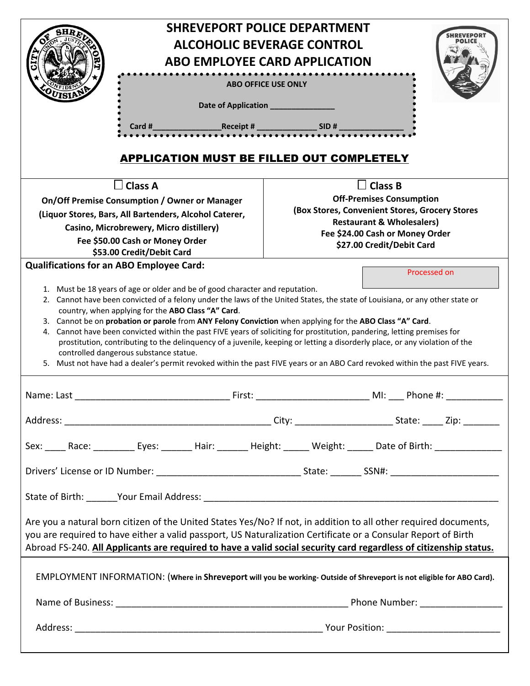| <b>SHREVEPORT POLICE DEPARTMENT</b><br><b>ALCOHOLIC BEVERAGE CONTROL</b><br><b>ABO EMPLOYEE CARD APPLICATION</b><br>. <b>.</b><br><b>ABO OFFICE USE ONLY</b><br>Date of Application ____________<br>Card # Receipt # SID #<br><b>APPLICATION MUST BE FILLED OUT COMPLETELY</b>                                                                                                                                                                                                                                                                                                                                                                                                                                                                                                                                         |                                                                                                                      |
|------------------------------------------------------------------------------------------------------------------------------------------------------------------------------------------------------------------------------------------------------------------------------------------------------------------------------------------------------------------------------------------------------------------------------------------------------------------------------------------------------------------------------------------------------------------------------------------------------------------------------------------------------------------------------------------------------------------------------------------------------------------------------------------------------------------------|----------------------------------------------------------------------------------------------------------------------|
| $\!\!\!\Box$ Class A                                                                                                                                                                                                                                                                                                                                                                                                                                                                                                                                                                                                                                                                                                                                                                                                   | <b>Class B</b>                                                                                                       |
| On/Off Premise Consumption / Owner or Manager                                                                                                                                                                                                                                                                                                                                                                                                                                                                                                                                                                                                                                                                                                                                                                          | <b>Off-Premises Consumption</b>                                                                                      |
| (Liquor Stores, Bars, All Bartenders, Alcohol Caterer,                                                                                                                                                                                                                                                                                                                                                                                                                                                                                                                                                                                                                                                                                                                                                                 | (Box Stores, Convenient Stores, Grocery Stores                                                                       |
| Casino, Microbrewery, Micro distillery)                                                                                                                                                                                                                                                                                                                                                                                                                                                                                                                                                                                                                                                                                                                                                                                | <b>Restaurant &amp; Wholesalers)</b><br>Fee \$24.00 Cash or Money Order                                              |
| Fee \$50.00 Cash or Money Order                                                                                                                                                                                                                                                                                                                                                                                                                                                                                                                                                                                                                                                                                                                                                                                        | \$27.00 Credit/Debit Card                                                                                            |
| \$53.00 Credit/Debit Card<br><b>Qualifications for an ABO Employee Card:</b>                                                                                                                                                                                                                                                                                                                                                                                                                                                                                                                                                                                                                                                                                                                                           |                                                                                                                      |
| 1. Must be 18 years of age or older and be of good character and reputation.<br>2. Cannot have been convicted of a felony under the laws of the United States, the state of Louisiana, or any other state or<br>country, when applying for the ABO Class "A" Card.<br>3. Cannot be on probation or parole from ANY Felony Conviction when applying for the ABO Class "A" Card.<br>Cannot have been convicted within the past FIVE years of soliciting for prostitution, pandering, letting premises for<br>4.<br>prostitution, contributing to the delinquency of a juvenile, keeping or letting a disorderly place, or any violation of the<br>controlled dangerous substance statue.<br>5. Must not have had a dealer's permit revoked within the past FIVE years or an ABO Card revoked within the past FIVE years. |                                                                                                                      |
| Name: Last<br>First:                                                                                                                                                                                                                                                                                                                                                                                                                                                                                                                                                                                                                                                                                                                                                                                                   | MI: Phone #:                                                                                                         |
|                                                                                                                                                                                                                                                                                                                                                                                                                                                                                                                                                                                                                                                                                                                                                                                                                        |                                                                                                                      |
|                                                                                                                                                                                                                                                                                                                                                                                                                                                                                                                                                                                                                                                                                                                                                                                                                        | Sex: _____ Race: __________ Eyes: _______ Hair: _______ Height: ______ Weight: ______ Date of Birth: _______________ |
|                                                                                                                                                                                                                                                                                                                                                                                                                                                                                                                                                                                                                                                                                                                                                                                                                        |                                                                                                                      |
|                                                                                                                                                                                                                                                                                                                                                                                                                                                                                                                                                                                                                                                                                                                                                                                                                        |                                                                                                                      |
| Are you a natural born citizen of the United States Yes/No? If not, in addition to all other required documents,<br>you are required to have either a valid passport, US Naturalization Certificate or a Consular Report of Birth<br>Abroad FS-240. All Applicants are required to have a valid social security card regardless of citizenship status.                                                                                                                                                                                                                                                                                                                                                                                                                                                                 |                                                                                                                      |
| EMPLOYMENT INFORMATION: (Where in Shreveport will you be working-Outside of Shreveport is not eligible for ABO Card).                                                                                                                                                                                                                                                                                                                                                                                                                                                                                                                                                                                                                                                                                                  |                                                                                                                      |
|                                                                                                                                                                                                                                                                                                                                                                                                                                                                                                                                                                                                                                                                                                                                                                                                                        |                                                                                                                      |
|                                                                                                                                                                                                                                                                                                                                                                                                                                                                                                                                                                                                                                                                                                                                                                                                                        |                                                                                                                      |
|                                                                                                                                                                                                                                                                                                                                                                                                                                                                                                                                                                                                                                                                                                                                                                                                                        |                                                                                                                      |